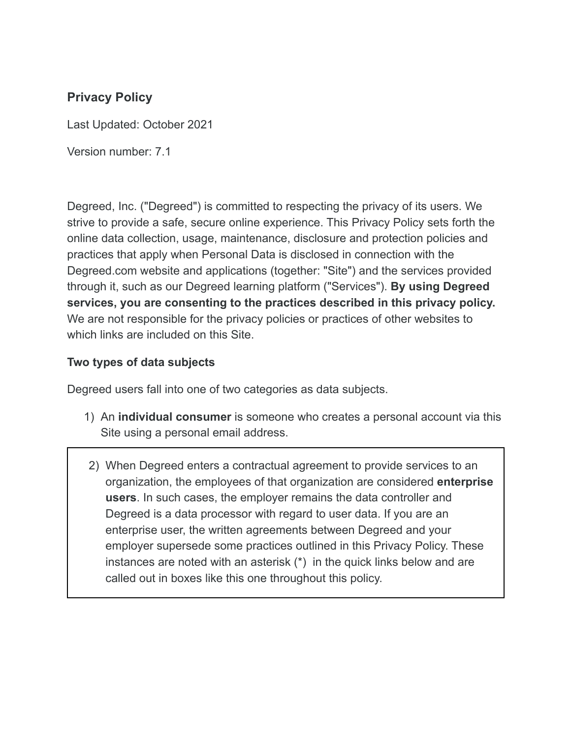### **Privacy Policy**

Last Updated: October 2021

Version number: 7.1

Degreed, Inc. ("Degreed") is committed to respecting the privacy of its users. We strive to provide a safe, secure online experience. This Privacy Policy sets forth the online data collection, usage, maintenance, disclosure and protection policies and practices that apply when Personal Data is disclosed in connection with the Degreed.com website and applications (together: "Site") and the services provided through it, such as our Degreed learning platform ("Services"). **By using Degreed services, you are consenting to the practices described in this privacy policy.** We are not responsible for the privacy policies or practices of other websites to which links are included on this Site.

#### **Two types of data subjects**

Degreed users fall into one of two categories as data subjects.

- 1) An **individual consumer** is someone who creates a personal account via this Site using a personal email address.
- 2) When Degreed enters a contractual agreement to provide services to an organization, the employees of that organization are considered **enterprise users**. In such cases, the employer remains the data controller and Degreed is a data processor with regard to user data. If you are an enterprise user, the written agreements between Degreed and your employer supersede some practices outlined in this Privacy Policy. These instances are noted with an asterisk (\*) in the quick links below and are called out in boxes like this one throughout this policy.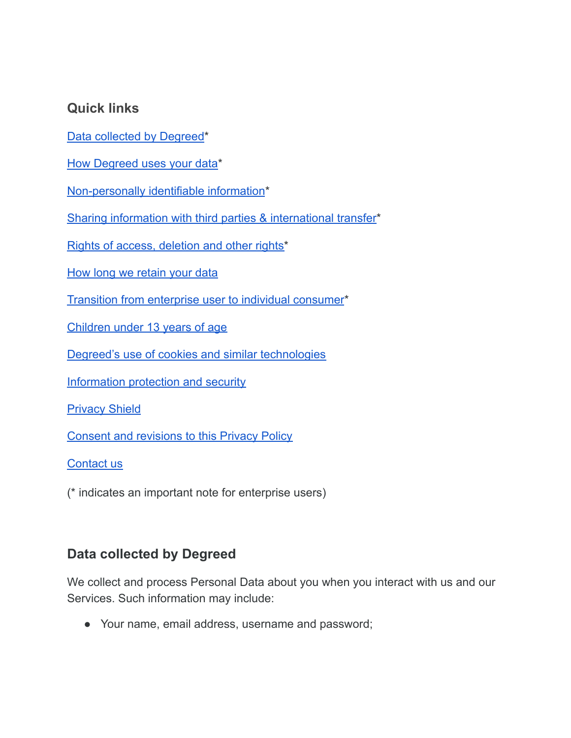### **Quick links**

Data [collected](#page-1-0) by Degreed\*

How Degreed uses your data\*

[Non-personally](#page-4-0) identifiable information\*

Sharing information with third parties & [international](#page-5-0) transfer\*

Rights of access, [deletion](#page-6-0) and other rights\*

How long we [retain](#page-7-0) your data

Transition from [enterprise](#page-8-0) user to individual consumer\*

[Children](#page-8-1) under 13 years of age

Degreed's use of cookies and similar [technologies](#page-8-2)

[Information](#page-9-0) protection and security

**[Privacy](#page-9-1) Shield** 

Consent and [revisions](#page-11-0) to this Privacy Policy

[Contact](#page-11-1) us

<span id="page-1-0"></span>(\* indicates an important note for enterprise users)

### **Data collected by Degreed**

We collect and process Personal Data about you when you interact with us and our Services. Such information may include:

● Your name, email address, username and password;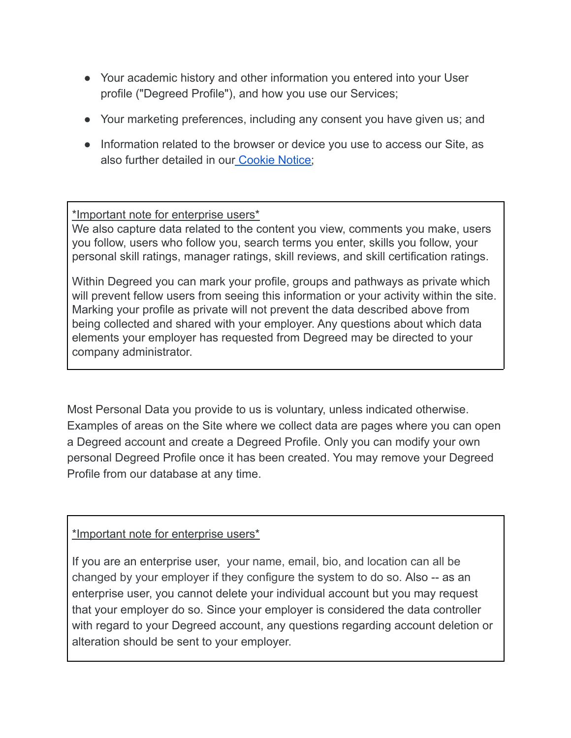- Your academic history and other information you entered into your User profile ("Degreed Profile"), and how you use our Services;
- Your marketing preferences, including any consent you have given us; and
- Information related to the browser or device you use to access our Site, as also further detailed in our [Cookie](https://degreed.com/cookies) Notice;

#### \*Important note for enterprise users\*

We also capture data related to the content you view, comments you make, users you follow, users who follow you, search terms you enter, skills you follow, your personal skill ratings, manager ratings, skill reviews, and skill certification ratings.

Within Degreed you can mark your profile, groups and pathways as private which will prevent fellow users from seeing this information or your activity within the site. Marking your profile as private will not prevent the data described above from being collected and shared with your employer. Any questions about which data elements your employer has requested from Degreed may be directed to your company administrator.

Most Personal Data you provide to us is voluntary, unless indicated otherwise. Examples of areas on the Site where we collect data are pages where you can open a Degreed account and create a Degreed Profile. Only you can modify your own personal Degreed Profile once it has been created. You may remove your Degreed Profile from our database at any time.

#### \*Important note for enterprise users\*

If you are an enterprise user, your name, email, bio, and location can all be changed by your employer if they configure the system to do so. Also -- as an enterprise user, you cannot delete your individual account but you may request that your employer do so. Since your employer is considered the data controller with regard to your Degreed account, any questions regarding account deletion or alteration should be sent to your employer.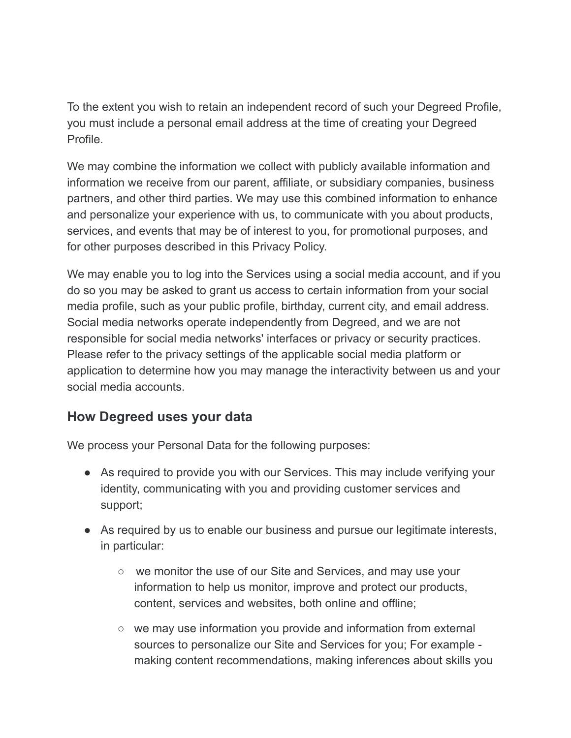To the extent you wish to retain an independent record of such your Degreed Profile, you must include a personal email address at the time of creating your Degreed Profile.

We may combine the information we collect with publicly available information and information we receive from our parent, affiliate, or subsidiary companies, business partners, and other third parties. We may use this combined information to enhance and personalize your experience with us, to communicate with you about products, services, and events that may be of interest to you, for promotional purposes, and for other purposes described in this Privacy Policy.

We may enable you to log into the Services using a social media account, and if you do so you may be asked to grant us access to certain information from your social media profile, such as your public profile, birthday, current city, and email address. Social media networks operate independently from Degreed, and we are not responsible for social media networks' interfaces or privacy or security practices. Please refer to the privacy settings of the applicable social media platform or application to determine how you may manage the interactivity between us and your social media accounts.

### **How Degreed uses your data**

We process your Personal Data for the following purposes:

- As required to provide you with our Services. This may include verifying your identity, communicating with you and providing customer services and support;
- As required by us to enable our business and pursue our legitimate interests, in particular:
	- we monitor the use of our Site and Services, and may use your information to help us monitor, improve and protect our products, content, services and websites, both online and offline;
	- we may use information you provide and information from external sources to personalize our Site and Services for you; For example making content recommendations, making inferences about skills you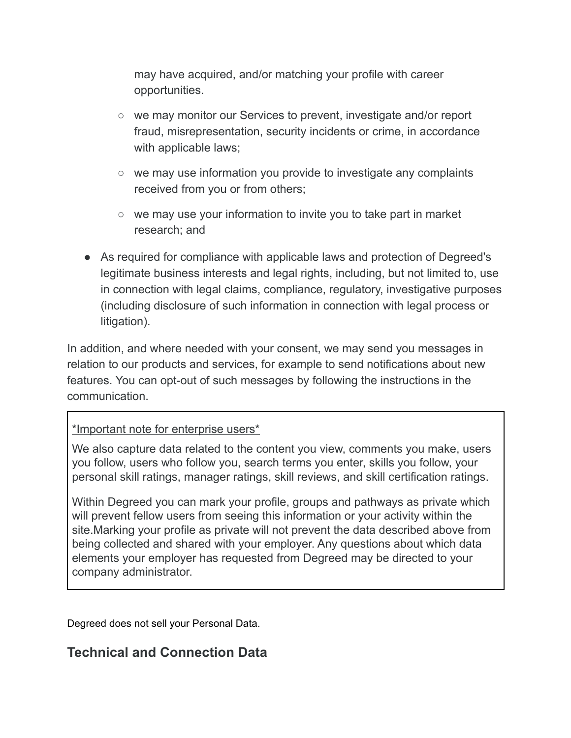may have acquired, and/or matching your profile with career opportunities.

- we may monitor our Services to prevent, investigate and/or report fraud, misrepresentation, security incidents or crime, in accordance with applicable laws;
- we may use information you provide to investigate any complaints received from you or from others;
- we may use your information to invite you to take part in market research; and
- As required for compliance with applicable laws and protection of Degreed's legitimate business interests and legal rights, including, but not limited to, use in connection with legal claims, compliance, regulatory, investigative purposes (including disclosure of such information in connection with legal process or litigation).

In addition, and where needed with your consent, we may send you messages in relation to our products and services, for example to send notifications about new features. You can opt-out of such messages by following the instructions in the communication.

#### \*Important note for enterprise users\*

We also capture data related to the content you view, comments you make, users you follow, users who follow you, search terms you enter, skills you follow, your personal skill ratings, manager ratings, skill reviews, and skill certification ratings.

Within Degreed you can mark your profile, groups and pathways as private which will prevent fellow users from seeing this information or your activity within the site.Marking your profile as private will not prevent the data described above from being collected and shared with your employer. Any questions about which data elements your employer has requested from Degreed may be directed to your company administrator.

<span id="page-4-0"></span>Degreed does not sell your Personal Data.

### **Technical and Connection Data**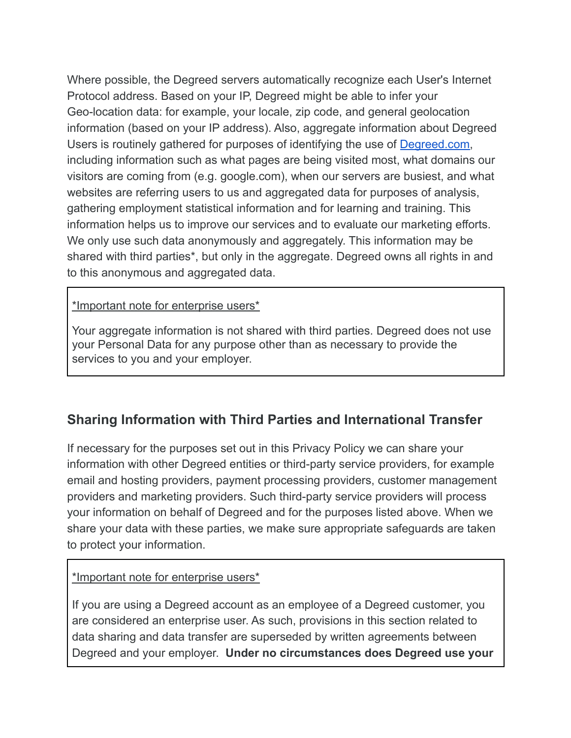Where possible, the Degreed servers automatically recognize each User's Internet Protocol address. Based on your IP, Degreed might be able to infer your Geo-location data: for example, your locale, zip code, and general geolocation information (based on your IP address). Also, aggregate information about Degreed Users is routinely gathered for purposes of identifying the use of [Degreed.com,](https://degreed.com/) including information such as what pages are being visited most, what domains our visitors are coming from (e.g. google.com), when our servers are busiest, and what websites are referring users to us and aggregated data for purposes of analysis, gathering employment statistical information and for learning and training. This information helps us to improve our services and to evaluate our marketing efforts. We only use such data anonymously and aggregately. This information may be shared with third parties\*, but only in the aggregate. Degreed owns all rights in and to this anonymous and aggregated data.

#### \*Important note for enterprise users\*

Your aggregate information is not shared with third parties. Degreed does not use your Personal Data for any purpose other than as necessary to provide the services to you and your employer.

### <span id="page-5-0"></span>**Sharing Information with Third Parties and International Transfer**

If necessary for the purposes set out in this Privacy Policy we can share your information with other Degreed entities or third-party service providers, for example email and hosting providers, payment processing providers, customer management providers and marketing providers. Such third-party service providers will process your information on behalf of Degreed and for the purposes listed above. When we share your data with these parties, we make sure appropriate safeguards are taken to protect your information.

#### \*Important note for enterprise users\*

If you are using a Degreed account as an employee of a Degreed customer, you are considered an enterprise user. As such, provisions in this section related to data sharing and data transfer are superseded by written agreements between Degreed and your employer. **Under no circumstances does Degreed use your**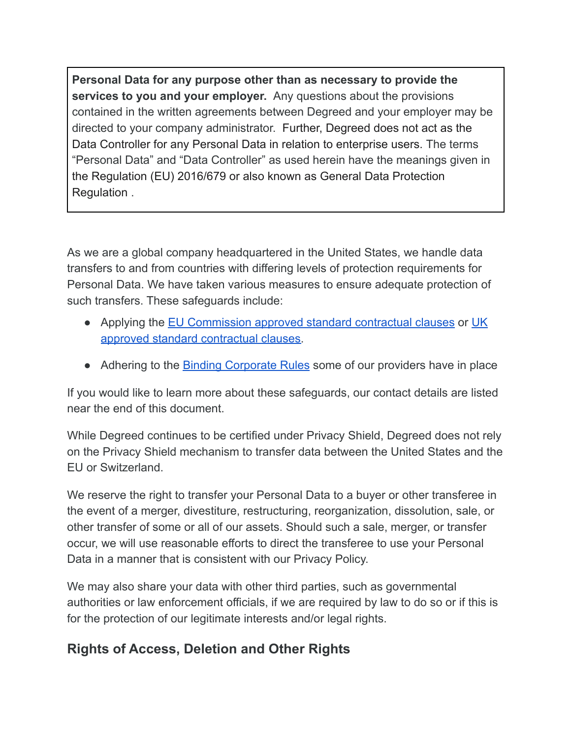**Personal Data for any purpose other than as necessary to provide the services to you and your employer.** Any questions about the provisions contained in the written agreements between Degreed and your employer may be directed to your company administrator. Further, Degreed does not act as the Data Controller for any Personal Data in relation to enterprise users. The terms "Personal Data" and "Data Controller" as used herein have the meanings given in the Regulation (EU) 2016/679 or also known as General Data Protection Regulation .

As we are a global company headquartered in the United States, we handle data transfers to and from countries with differing levels of protection requirements for Personal Data. We have taken various measures to ensure adequate protection of such transfers. These safeguards include:

- Applying the EU [Commission](https://ec.europa.eu/info/law/law-topic/data-protection/data-transfers-outside-eu/model-contracts-transfer-personal-data-third-countries_en) approved standard contractual clauses or [UK](https://ico.org.uk/for-organisations/guide-to-data-protection/guide-to-the-general-data-protection-regulation-gdpr/international-transfers-after-uk-exit/sccs-after-transition-period/) approved standard [contractual](https://ico.org.uk/for-organisations/guide-to-data-protection/guide-to-the-general-data-protection-regulation-gdpr/international-transfers-after-uk-exit/sccs-after-transition-period/) clauses.
- Adhering to the **Binding [Corporate](https://ec.europa.eu/info/law/law-topic/data-protection/data-transfers-outside-eu/binding-corporate-rules_en) Rules** some of our providers have in place

If you would like to learn more about these safeguards, our contact details are listed near the end of this document.

While Degreed continues to be certified under Privacy Shield, Degreed does not rely on the Privacy Shield mechanism to transfer data between the United States and the EU or Switzerland.

We reserve the right to transfer your Personal Data to a buyer or other transferee in the event of a merger, divestiture, restructuring, reorganization, dissolution, sale, or other transfer of some or all of our assets. Should such a sale, merger, or transfer occur, we will use reasonable efforts to direct the transferee to use your Personal Data in a manner that is consistent with our Privacy Policy.

We may also share your data with other third parties, such as governmental authorities or law enforcement officials, if we are required by law to do so or if this is for the protection of our legitimate interests and/or legal rights.

# <span id="page-6-0"></span>**Rights of Access, Deletion and Other Rights**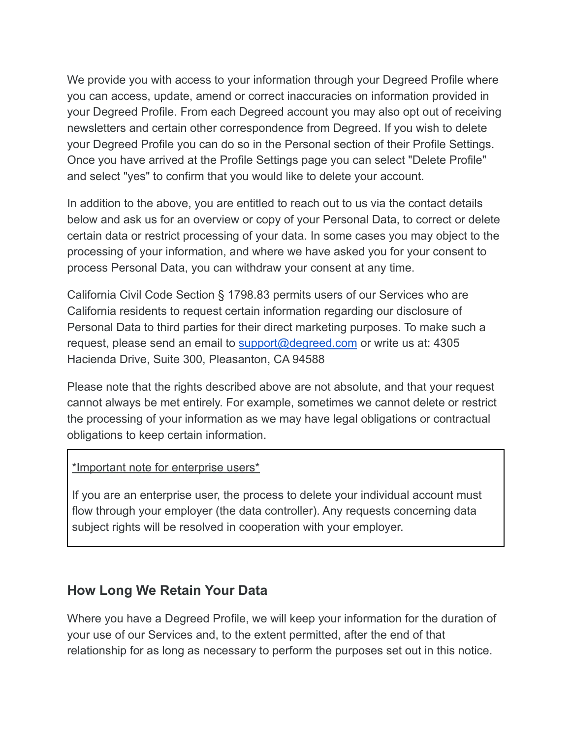We provide you with access to your information through your Degreed Profile where you can access, update, amend or correct inaccuracies on information provided in your Degreed Profile. From each Degreed account you may also opt out of receiving newsletters and certain other correspondence from Degreed. If you wish to delete your Degreed Profile you can do so in the Personal section of their Profile Settings. Once you have arrived at the Profile Settings page you can select "Delete Profile" and select "yes" to confirm that you would like to delete your account.

In addition to the above, you are entitled to reach out to us via the contact details below and ask us for an overview or copy of your Personal Data, to correct or delete certain data or restrict processing of your data. In some cases you may object to the processing of your information, and where we have asked you for your consent to process Personal Data, you can withdraw your consent at any time.

California Civil Code Section § 1798.83 permits users of our Services who are California residents to request certain information regarding our disclosure of Personal Data to third parties for their direct marketing purposes. To make such a request, please send an email to [support@degreed.com](mailto:info@degreed.com) or write us at: 4305 Hacienda Drive, Suite 300, Pleasanton, CA 94588

Please note that the rights described above are not absolute, and that your request cannot always be met entirely. For example, sometimes we cannot delete or restrict the processing of your information as we may have legal obligations or contractual obligations to keep certain information.

#### \*Important note for enterprise users\*

If you are an enterprise user, the process to delete your individual account must flow through your employer (the data controller). Any requests concerning data subject rights will be resolved in cooperation with your employer.

## <span id="page-7-0"></span>**How Long We Retain Your Data**

Where you have a Degreed Profile, we will keep your information for the duration of your use of our Services and, to the extent permitted, after the end of that relationship for as long as necessary to perform the purposes set out in this notice.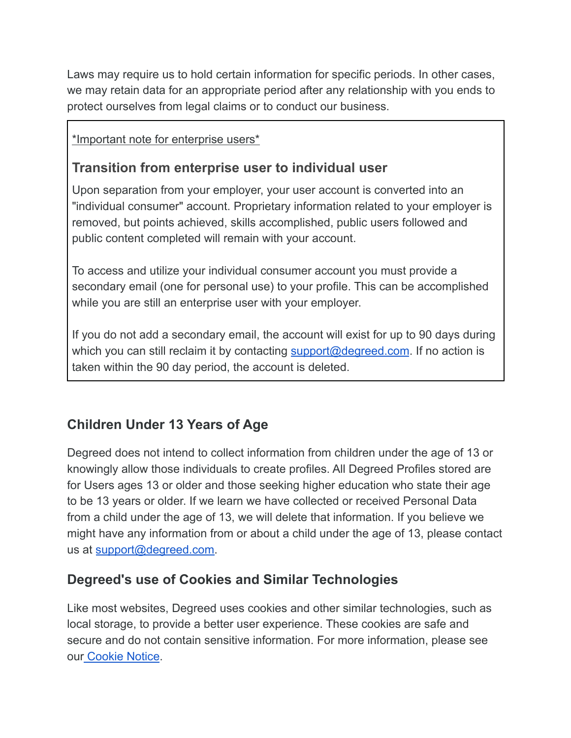Laws may require us to hold certain information for specific periods. In other cases, we may retain data for an appropriate period after any relationship with you ends to protect ourselves from legal claims or to conduct our business.

<span id="page-8-0"></span>\*Important note for enterprise users\*

## **Transition from enterprise user to individual user**

Upon separation from your employer, your user account is converted into an "individual consumer" account. Proprietary information related to your employer is removed, but points achieved, skills accomplished, public users followed and public content completed will remain with your account.

To access and utilize your individual consumer account you must provide a secondary email (one for personal use) to your profile. This can be accomplished while you are still an enterprise user with your employer.

If you do not add a secondary email, the account will exist for up to 90 days during which you can still reclaim it by contacting [support@degreed.com](mailto:info@degreed.com). If no action is taken within the 90 day period, the account is deleted.

# <span id="page-8-1"></span>**Children Under 13 Years of Age**

Degreed does not intend to collect information from children under the age of 13 or knowingly allow those individuals to create profiles. All Degreed Profiles stored are for Users ages 13 or older and those seeking higher education who state their age to be 13 years or older. If we learn we have collected or received Personal Data from a child under the age of 13, we will delete that information. If you believe we might have any information from or about a child under the age of 13, please contact us at [support@degreed.com.](mailto:info@degreed.com)

## <span id="page-8-2"></span>**Degreed's use of Cookies and Similar Technologies**

Like most websites, Degreed uses cookies and other similar technologies, such as local storage, to provide a better user experience. These cookies are safe and secure and do not contain sensitive information. For more information, please see our [Cookie](https://degreed.com/cookies) Notice.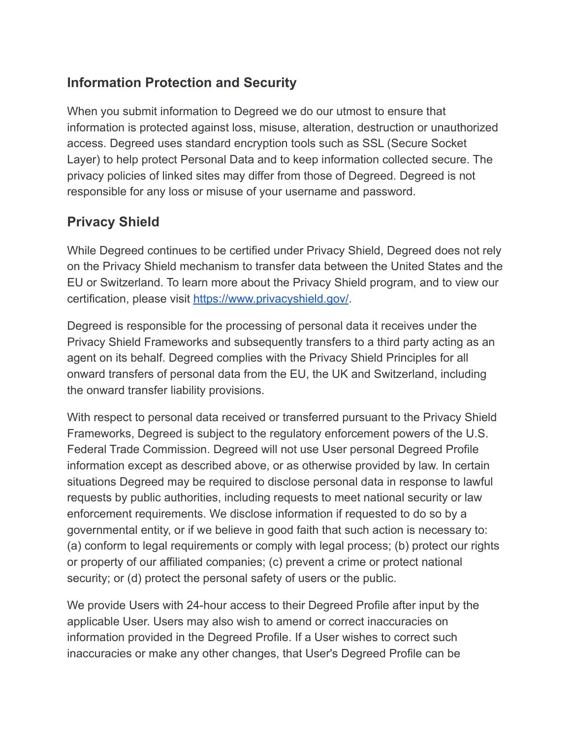# <span id="page-9-0"></span>**Information Protection and Security**

When you submit information to Degreed we do our utmost to ensure that information is protected against loss, misuse, alteration, destruction or unauthorized access. Degreed uses standard encryption tools such as SSL (Secure Socket Layer) to help protect Personal Data and to keep information collected secure. The privacy policies of linked sites may differ from those of Degreed. Degreed is not responsible for any loss or misuse of your username and password.

# <span id="page-9-1"></span>**Privacy Shield**

While Degreed continues to be certified under Privacy Shield, Degreed does not rely on the Privacy Shield mechanism to transfer data between the United States and the EU or Switzerland. To learn more about the Privacy Shield program, and to view our certification, please visit <https://www.privacyshield.gov/>.

Degreed is responsible for the processing of personal data it receives under the Privacy Shield Frameworks and subsequently transfers to a third party acting as an agent on its behalf. Degreed complies with the Privacy Shield Principles for all onward transfers of personal data from the EU, the UK and Switzerland, including the onward transfer liability provisions.

With respect to personal data received or transferred pursuant to the Privacy Shield Frameworks, Degreed is subject to the regulatory enforcement powers of the U.S. Federal Trade Commission. Degreed will not use User personal Degreed Profile information except as described above, or as otherwise provided by law. In certain situations Degreed may be required to disclose personal data in response to lawful requests by public authorities, including requests to meet national security or law enforcement requirements. We disclose information if requested to do so by a governmental entity, or if we believe in good faith that such action is necessary to: (a) conform to legal requirements or comply with legal process; (b) protect our rights or property of our affiliated companies; (c) prevent a crime or protect national security; or (d) protect the personal safety of users or the public.

We provide Users with 24-hour access to their Degreed Profile after input by the applicable User. Users may also wish to amend or correct inaccuracies on information provided in the Degreed Profile. If a User wishes to correct such inaccuracies or make any other changes, that User's Degreed Profile can be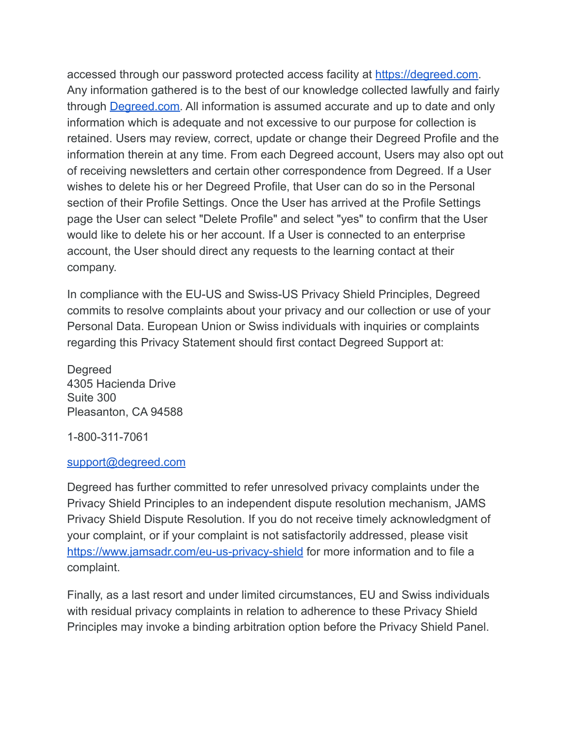accessed through our password protected access facility at [https://degreed.com.](https://degreed.com/) Any information gathered is to the best of our knowledge collected lawfully and fairly through [Degreed.com.](https://degreed.com/) All information is assumed accurate and up to date and only information which is adequate and not excessive to our purpose for collection is retained. Users may review, correct, update or change their Degreed Profile and the information therein at any time. From each Degreed account, Users may also opt out of receiving newsletters and certain other correspondence from Degreed. If a User wishes to delete his or her Degreed Profile, that User can do so in the Personal section of their Profile Settings. Once the User has arrived at the Profile Settings page the User can select "Delete Profile" and select "yes" to confirm that the User would like to delete his or her account. If a User is connected to an enterprise account, the User should direct any requests to the learning contact at their company.

In compliance with the EU-US and Swiss-US Privacy Shield Principles, Degreed commits to resolve complaints about your privacy and our collection or use of your Personal Data. European Union or Swiss individuals with inquiries or complaints regarding this Privacy Statement should first contact Degreed Support at:

Degreed 4305 Hacienda Drive Suite 300 Pleasanton, CA 94588

1-800-311-7061

#### [support@degreed.com](mailto:info@degreed.com)

Degreed has further committed to refer unresolved privacy complaints under the Privacy Shield Principles to an independent dispute resolution mechanism, JAMS Privacy Shield Dispute Resolution. If you do not receive timely acknowledgment of your complaint, or if your complaint is not satisfactorily addressed, please visit <https://www.jamsadr.com/eu-us-privacy-shield> for more information and to file a complaint.

Finally, as a last resort and under limited circumstances, EU and Swiss individuals with residual privacy complaints in relation to adherence to these Privacy Shield Principles may invoke a binding arbitration option before the Privacy Shield Panel.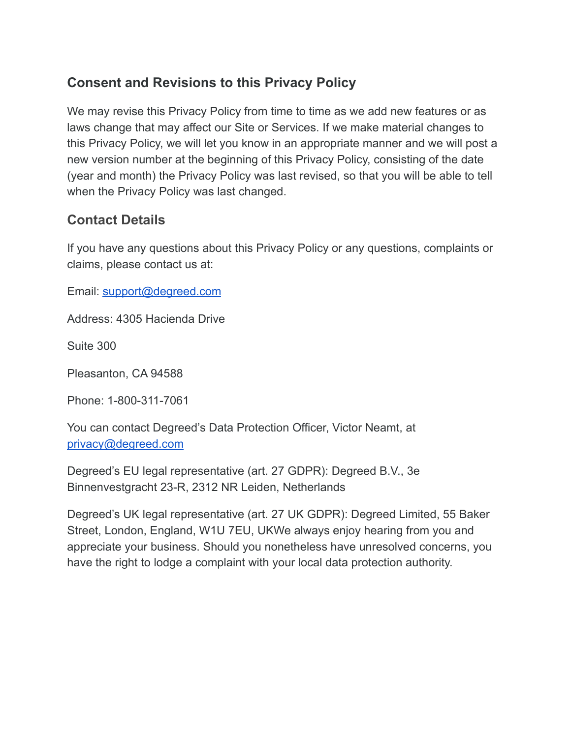## <span id="page-11-0"></span>**Consent and Revisions to this Privacy Policy**

We may revise this Privacy Policy from time to time as we add new features or as laws change that may affect our Site or Services. If we make material changes to this Privacy Policy, we will let you know in an appropriate manner and we will post a new version number at the beginning of this Privacy Policy, consisting of the date (year and month) the Privacy Policy was last revised, so that you will be able to tell when the Privacy Policy was last changed.

### <span id="page-11-1"></span>**Contact Details**

If you have any questions about this Privacy Policy or any questions, complaints or claims, please contact us at:

Email: [support@degreed.com](mailto:info@degreed.com)

Address: 4305 Hacienda Drive

Suite 300

Pleasanton, CA 94588

Phone: 1-800-311-7061

You can contact Degreed's Data Protection Officer, Victor Neamt, at [privacy@degreed.com](mailto:privacy@degreed.com)

Degreed's EU legal representative (art. 27 GDPR): Degreed B.V., 3e Binnenvestgracht 23-R, 2312 NR Leiden, Netherlands

Degreed's UK legal representative (art. 27 UK GDPR): Degreed Limited, 55 Baker Street, London, England, W1U 7EU, UKWe always enjoy hearing from you and appreciate your business. Should you nonetheless have unresolved concerns, you have the right to lodge a complaint with your local data protection authority.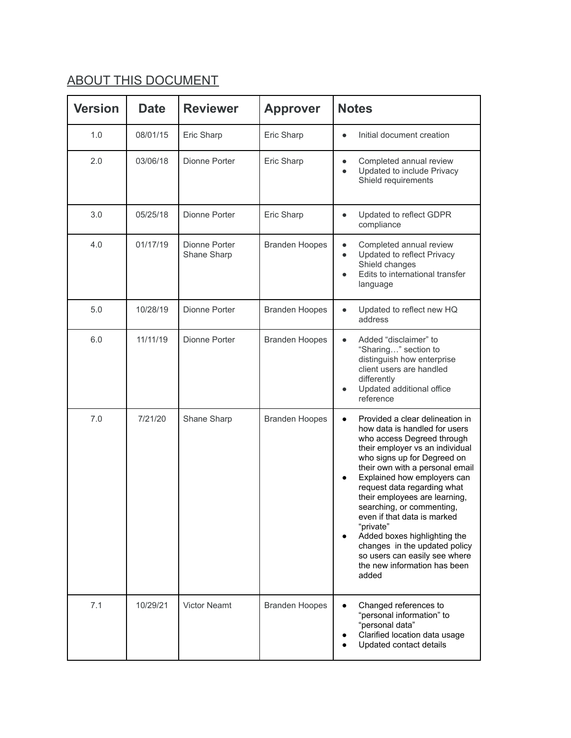# ABOUT THIS DOCUMENT

| <b>Version</b> | <b>Date</b> | <b>Reviewer</b>              | <b>Approver</b>       | <b>Notes</b>                                                                                                                                                                                                                                                                                                                                                                                                                                                                                                                        |
|----------------|-------------|------------------------------|-----------------------|-------------------------------------------------------------------------------------------------------------------------------------------------------------------------------------------------------------------------------------------------------------------------------------------------------------------------------------------------------------------------------------------------------------------------------------------------------------------------------------------------------------------------------------|
| 1.0            | 08/01/15    | Eric Sharp                   | Eric Sharp            | Initial document creation<br>$\bullet$                                                                                                                                                                                                                                                                                                                                                                                                                                                                                              |
| 2.0            | 03/06/18    | Dionne Porter                | Eric Sharp            | Completed annual review<br>$\bullet$<br>Updated to include Privacy<br>$\bullet$<br>Shield requirements                                                                                                                                                                                                                                                                                                                                                                                                                              |
| 3.0            | 05/25/18    | Dionne Porter                | Eric Sharp            | Updated to reflect GDPR<br>$\bullet$<br>compliance                                                                                                                                                                                                                                                                                                                                                                                                                                                                                  |
| 4.0            | 01/17/19    | Dionne Porter<br>Shane Sharp | <b>Branden Hoopes</b> | Completed annual review<br>$\bullet$<br>Updated to reflect Privacy<br>$\bullet$<br>Shield changes<br>Edits to international transfer<br>language                                                                                                                                                                                                                                                                                                                                                                                    |
| 5.0            | 10/28/19    | Dionne Porter                | <b>Branden Hoopes</b> | Updated to reflect new HQ<br>$\bullet$<br>address                                                                                                                                                                                                                                                                                                                                                                                                                                                                                   |
| 6.0            | 11/11/19    | Dionne Porter                | <b>Branden Hoopes</b> | Added "disclaimer" to<br>$\bullet$<br>"Sharing" section to<br>distinguish how enterprise<br>client users are handled<br>differently<br>Updated additional office<br>reference                                                                                                                                                                                                                                                                                                                                                       |
| 7.0            | 7/21/20     | Shane Sharp                  | <b>Branden Hoopes</b> | Provided a clear delineation in<br>$\bullet$<br>how data is handled for users<br>who access Degreed through<br>their employer vs an individual<br>who signs up for Degreed on<br>their own with a personal email<br>Explained how employers can<br>request data regarding what<br>their employees are learning,<br>searching, or commenting,<br>even if that data is marked<br>"private"<br>Added boxes highlighting the<br>changes in the updated policy<br>so users can easily see where<br>the new information has been<br>added |
| 7.1            | 10/29/21    | <b>Victor Neamt</b>          | <b>Branden Hoopes</b> | Changed references to<br>$\bullet$<br>"personal information" to<br>"personal data"<br>Clarified location data usage<br>Updated contact details                                                                                                                                                                                                                                                                                                                                                                                      |